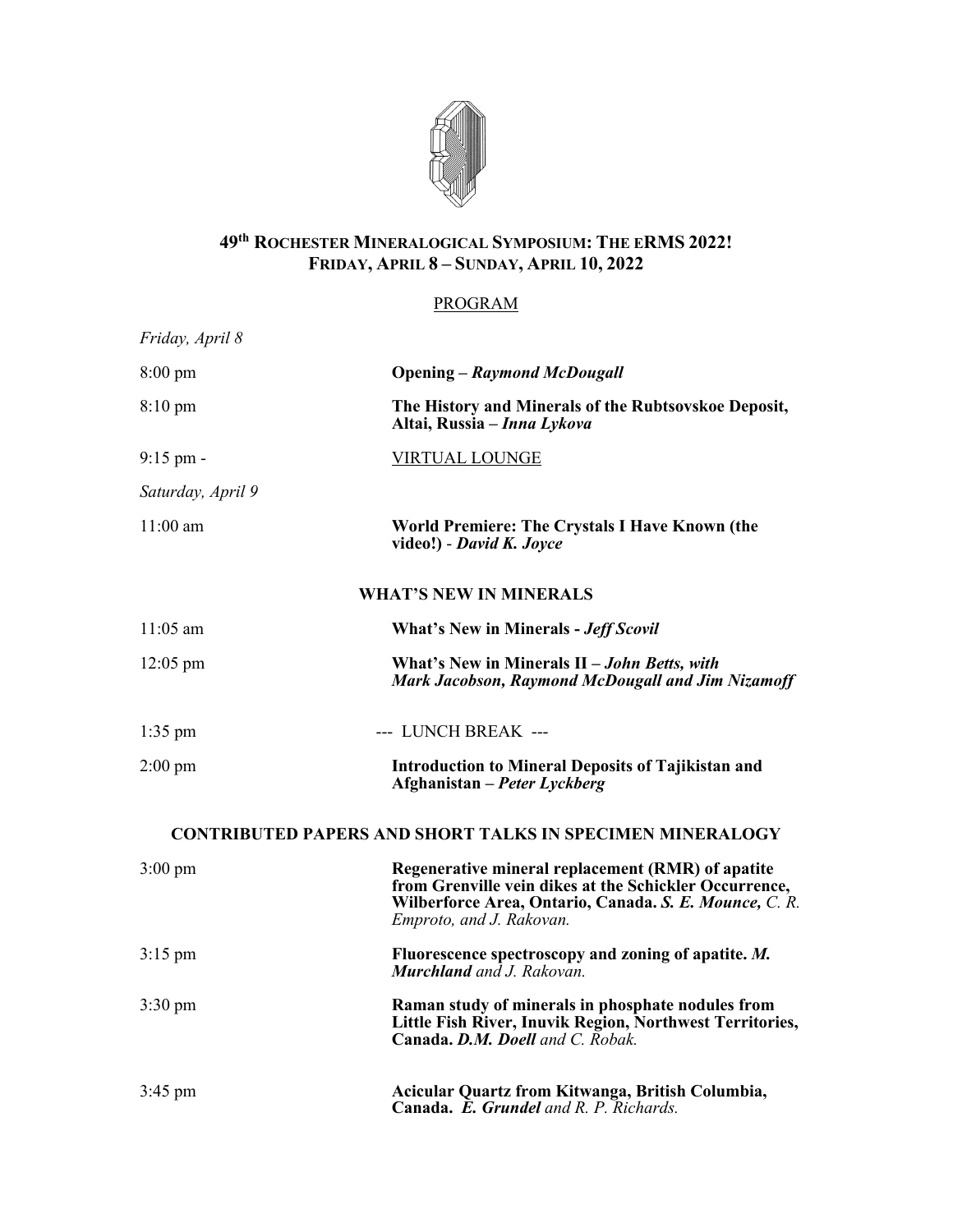

## **49th ROCHESTER MINERALOGICAL SYMPOSIUM: THE ERMS 2022! FRIDAY, APRIL 8 – SUNDAY, APRIL 10, 2022**

## PROGRAM

| Friday, April 8                                                  |                                                                                                                                                                                                   |
|------------------------------------------------------------------|---------------------------------------------------------------------------------------------------------------------------------------------------------------------------------------------------|
| $8:00 \text{ pm}$                                                | <b>Opening – Raymond McDougall</b>                                                                                                                                                                |
| $8:10 \text{ pm}$                                                | The History and Minerals of the Rubtsovskoe Deposit,<br>Altai, Russia – Inna Lykova                                                                                                               |
| $9:15$ pm -                                                      | <b>VIRTUAL LOUNGE</b>                                                                                                                                                                             |
| Saturday, April 9                                                |                                                                                                                                                                                                   |
| $11:00$ am                                                       | World Premiere: The Crystals I Have Known (the<br>video!) - David K. Joyce                                                                                                                        |
| <b>WHAT'S NEW IN MINERALS</b>                                    |                                                                                                                                                                                                   |
| $11:05$ am                                                       | <b>What's New in Minerals - Jeff Scovil</b>                                                                                                                                                       |
| $12:05 \text{ pm}$                                               | What's New in Minerals II – John Betts, with<br>Mark Jacobson, Raymond McDougall and Jim Nizamoff                                                                                                 |
| $1:35$ pm                                                        | --- LUNCH BREAK ---                                                                                                                                                                               |
| $2:00 \text{ pm}$                                                | <b>Introduction to Mineral Deposits of Tajikistan and</b><br>Afghanistan – Peter Lyckberg                                                                                                         |
| <b>CONTRIBUTED PAPERS AND SHORT TALKS IN SPECIMEN MINERALOGY</b> |                                                                                                                                                                                                   |
| $3:00 \text{ pm}$                                                | Regenerative mineral replacement (RMR) of apatite<br>from Grenville vein dikes at the Schickler Occurrence,<br>Wilberforce Area, Ontario, Canada. S. E. Mounce, C. R.<br>Emproto, and J. Rakovan. |
| $3:15$ pm                                                        | Fluorescence spectroscopy and zoning of apatite. M.<br><b>Murchland</b> and <i>J. Rakovan.</i>                                                                                                    |
| $3:30 \text{ pm}$                                                | Raman study of minerals in phosphate nodules from<br>Little Fish River, Inuvik Region, Northwest Territories,<br><b>Canada. D.M. Doell</b> and C. Robak.                                          |
| $3:45$ pm                                                        | Acicular Quartz from Kitwanga, British Columbia,<br>Canada. E. Grundel and R. P. Richards.                                                                                                        |